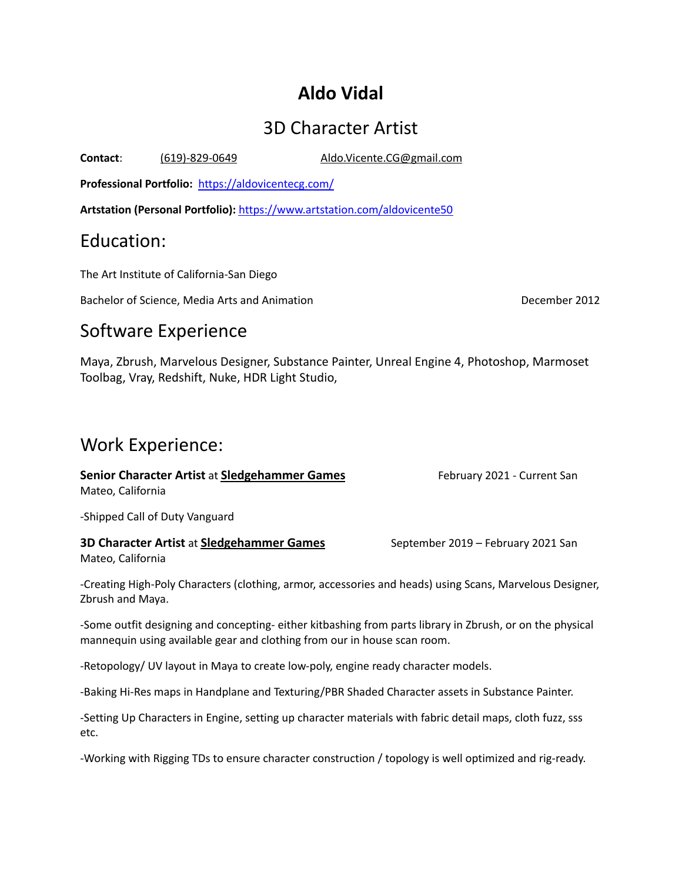# **Aldo Vidal**

# 3D Character Artist

**Contact**: (619)-829-0649 Aldo.Vicente.CG@gmail.com

**Professional Portfolio:** <https://aldovicentecg.com/>

**Artstation (Personal Portfolio):** <https://www.artstation.com/aldovicente50>

### Education:

The Art Institute of California-San Diego

Bachelor of Science, Media Arts and Animation **December 2012 December 2012** 

## Software Experience

Maya, Zbrush, Marvelous Designer, Substance Painter, Unreal Engine 4, Photoshop, Marmoset Toolbag, Vray, Redshift, Nuke, HDR Light Studio,

## Work Experience:

**Senior Character Artist** at **Sledgehammer Games** February 2021 - Current San Mateo, California

-Shipped Call of Duty Vanguard

### **3D Character Artist** at **Sledgehammer Games** September 2019 – February 2021 San Mateo, California

-Creating High-Poly Characters (clothing, armor, accessories and heads) using Scans, Marvelous Designer, Zbrush and Maya.

-Some outfit designing and concepting- either kitbashing from parts library in Zbrush, or on the physical mannequin using available gear and clothing from our in house scan room.

-Retopology/ UV layout in Maya to create low-poly, engine ready character models.

-Baking Hi-Res maps in Handplane and Texturing/PBR Shaded Character assets in Substance Painter.

-Setting Up Characters in Engine, setting up character materials with fabric detail maps, cloth fuzz, sss etc.

-Working with Rigging TDs to ensure character construction / topology is well optimized and rig-ready.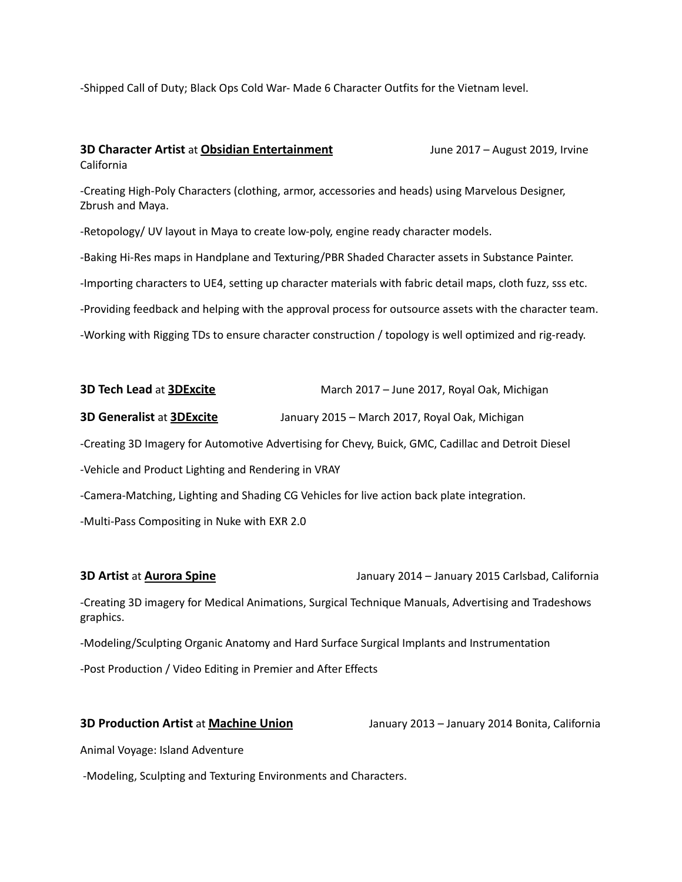-Shipped Call of Duty; Black Ops Cold War- Made 6 Character Outfits for the Vietnam level.

#### **3D Character Artist** at **Obsidian Entertainment** June 2017 – August 2019, Irvine California

-Creating High-Poly Characters (clothing, armor, accessories and heads) using Marvelous Designer, Zbrush and Maya.

-Retopology/ UV layout in Maya to create low-poly, engine ready character models.

-Baking Hi-Res maps in Handplane and Texturing/PBR Shaded Character assets in Substance Painter.

-Importing characters to UE4, setting up character materials with fabric detail maps, cloth fuzz, sss etc.

-Providing feedback and helping with the approval process for outsource assets with the character team.

-Working with Rigging TDs to ensure character construction / topology is well optimized and rig-ready.

| 3D Tech Lead at 3DExcite                                                                           | March 2017 - June 2017, Royal Oak, Michigan    |
|----------------------------------------------------------------------------------------------------|------------------------------------------------|
| <b>3D Generalist at 3DExcite</b>                                                                   | January 2015 - March 2017, Royal Oak, Michigan |
| -Creating 3D Imagery for Automotive Advertising for Chevy, Buick, GMC, Cadillac and Detroit Diesel |                                                |
| -Vehicle and Product Lighting and Rendering in VRAY                                                |                                                |
| -Camera-Matching, Lighting and Shading CG Vehicles for live action back plate integration.         |                                                |
| -Multi-Pass Compositing in Nuke with EXR 2.0                                                       |                                                |
|                                                                                                    |                                                |

**3D Artist** at **Aurora Spine** January 2014 – January 2015 Carlsbad, California

-Creating 3D imagery for Medical Animations, Surgical Technique Manuals, Advertising and Tradeshows graphics.

-Modeling/Sculpting Organic Anatomy and Hard Surface Surgical Implants and Instrumentation

-Post Production / Video Editing in Premier and After Effects

**3D Production Artist** at **Machine Union** January 2013 – January 2014 Bonita, California

Animal Voyage: Island Adventure

-Modeling, Sculpting and Texturing Environments and Characters.